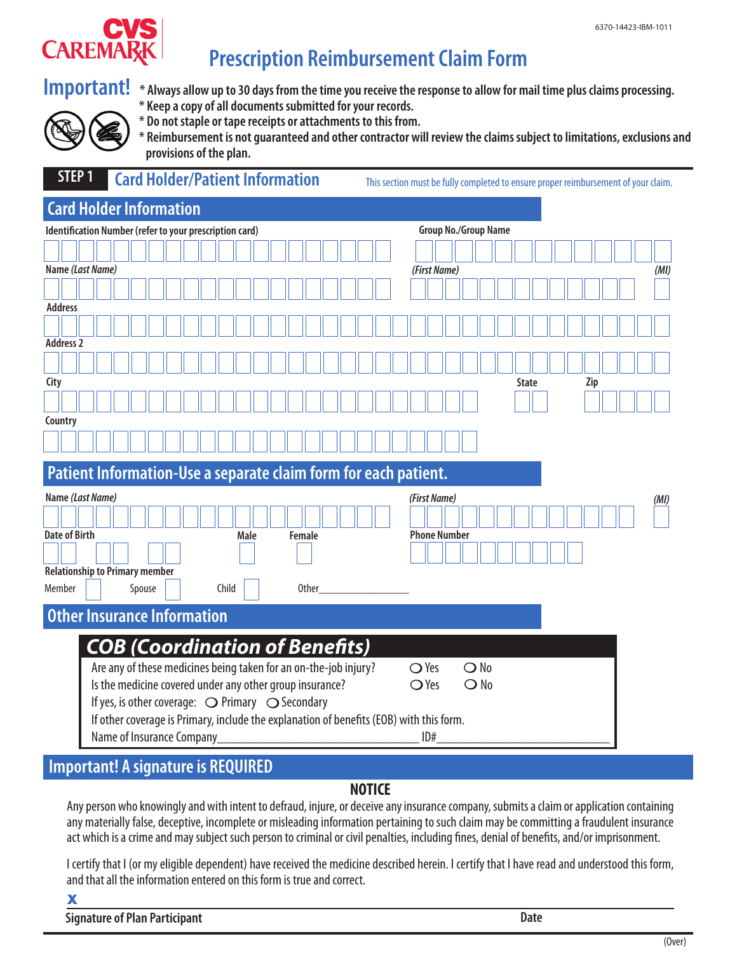

# **Prescription Reimbursement Claim Form**



- **Important!** \* Always allow up to 30 days from the time you receive the response to allow for mail time plus claims processing.
	- **\* Keep a copy of all documents submitted for your records.**
	- **\* Do not staple or tape receipts or attachments to this from.**



 **\* Reimbursement is not guaranteed and other contractor will review the claims subject to limitations, exclusions and provisions of the plan.**

## **STEP 1 Card Holder/Patient Information** This section must be fully completed to ensure proper reimbursement of your claim.

# **Card Holder Information**

|                                                                 | Identification Number (refer to your prescription card) |                                                                                                                      |  |  |                                                                    |  |  |  |  |  |       |  |      |              |     | <b>Group No./Group Name</b> |              |  |  |  |  |  |  |                     |  |  |      |               |  |      |  |              |  |  |  |     |  |  |  |  |
|-----------------------------------------------------------------|---------------------------------------------------------|----------------------------------------------------------------------------------------------------------------------|--|--|--------------------------------------------------------------------|--|--|--|--|--|-------|--|------|--------------|-----|-----------------------------|--------------|--|--|--|--|--|--|---------------------|--|--|------|---------------|--|------|--|--------------|--|--|--|-----|--|--|--|--|
|                                                                 |                                                         |                                                                                                                      |  |  |                                                                    |  |  |  |  |  |       |  |      |              |     |                             |              |  |  |  |  |  |  |                     |  |  |      |               |  |      |  |              |  |  |  |     |  |  |  |  |
|                                                                 | Name (Last Name)                                        |                                                                                                                      |  |  |                                                                    |  |  |  |  |  |       |  |      |              |     | (First Name)                |              |  |  |  |  |  |  |                     |  |  |      |               |  | (MI) |  |              |  |  |  |     |  |  |  |  |
|                                                                 |                                                         |                                                                                                                      |  |  |                                                                    |  |  |  |  |  |       |  |      |              |     |                             |              |  |  |  |  |  |  |                     |  |  |      |               |  |      |  |              |  |  |  |     |  |  |  |  |
| <b>Address</b>                                                  |                                                         |                                                                                                                      |  |  |                                                                    |  |  |  |  |  |       |  |      |              |     |                             |              |  |  |  |  |  |  |                     |  |  |      |               |  |      |  |              |  |  |  |     |  |  |  |  |
|                                                                 |                                                         |                                                                                                                      |  |  |                                                                    |  |  |  |  |  |       |  |      |              |     |                             |              |  |  |  |  |  |  |                     |  |  |      |               |  |      |  |              |  |  |  |     |  |  |  |  |
| <b>Address 2</b>                                                |                                                         |                                                                                                                      |  |  |                                                                    |  |  |  |  |  |       |  |      |              |     |                             |              |  |  |  |  |  |  |                     |  |  |      |               |  |      |  |              |  |  |  |     |  |  |  |  |
|                                                                 |                                                         |                                                                                                                      |  |  |                                                                    |  |  |  |  |  |       |  |      |              |     |                             |              |  |  |  |  |  |  |                     |  |  |      |               |  |      |  |              |  |  |  |     |  |  |  |  |
| City                                                            |                                                         |                                                                                                                      |  |  |                                                                    |  |  |  |  |  |       |  |      |              |     |                             |              |  |  |  |  |  |  |                     |  |  |      |               |  |      |  | <b>State</b> |  |  |  | Zip |  |  |  |  |
|                                                                 |                                                         |                                                                                                                      |  |  |                                                                    |  |  |  |  |  |       |  |      |              |     |                             |              |  |  |  |  |  |  |                     |  |  |      |               |  |      |  |              |  |  |  |     |  |  |  |  |
|                                                                 |                                                         |                                                                                                                      |  |  |                                                                    |  |  |  |  |  |       |  |      |              |     |                             |              |  |  |  |  |  |  |                     |  |  |      |               |  |      |  |              |  |  |  |     |  |  |  |  |
| Country                                                         |                                                         |                                                                                                                      |  |  |                                                                    |  |  |  |  |  |       |  |      |              |     |                             |              |  |  |  |  |  |  |                     |  |  |      |               |  |      |  |              |  |  |  |     |  |  |  |  |
|                                                                 |                                                         |                                                                                                                      |  |  |                                                                    |  |  |  |  |  |       |  |      |              |     |                             |              |  |  |  |  |  |  |                     |  |  |      |               |  |      |  |              |  |  |  |     |  |  |  |  |
| Patient Information-Use a separate claim form for each patient. |                                                         |                                                                                                                      |  |  |                                                                    |  |  |  |  |  |       |  |      |              |     |                             |              |  |  |  |  |  |  |                     |  |  |      |               |  |      |  |              |  |  |  |     |  |  |  |  |
| Name (Last Name)                                                |                                                         |                                                                                                                      |  |  |                                                                    |  |  |  |  |  |       |  |      | (First Name) |     |                             |              |  |  |  |  |  |  |                     |  |  | (MI) |               |  |      |  |              |  |  |  |     |  |  |  |  |
|                                                                 |                                                         |                                                                                                                      |  |  |                                                                    |  |  |  |  |  |       |  |      |              |     |                             |              |  |  |  |  |  |  |                     |  |  |      |               |  |      |  |              |  |  |  |     |  |  |  |  |
| <b>Date of Birth</b>                                            |                                                         |                                                                                                                      |  |  |                                                                    |  |  |  |  |  |       |  | Male |              |     | Female                      |              |  |  |  |  |  |  | <b>Phone Number</b> |  |  |      |               |  |      |  |              |  |  |  |     |  |  |  |  |
|                                                                 |                                                         |                                                                                                                      |  |  |                                                                    |  |  |  |  |  |       |  |      |              |     |                             |              |  |  |  |  |  |  |                     |  |  |      |               |  |      |  |              |  |  |  |     |  |  |  |  |
| <b>Relationship to Primary member</b>                           |                                                         |                                                                                                                      |  |  |                                                                    |  |  |  |  |  |       |  |      |              |     |                             |              |  |  |  |  |  |  |                     |  |  |      |               |  |      |  |              |  |  |  |     |  |  |  |  |
| Member                                                          |                                                         |                                                                                                                      |  |  | Spouse                                                             |  |  |  |  |  | Child |  |      |              |     |                             | <b>Other</b> |  |  |  |  |  |  |                     |  |  |      |               |  |      |  |              |  |  |  |     |  |  |  |  |
| <b>Other Insurance Information</b>                              |                                                         |                                                                                                                      |  |  |                                                                    |  |  |  |  |  |       |  |      |              |     |                             |              |  |  |  |  |  |  |                     |  |  |      |               |  |      |  |              |  |  |  |     |  |  |  |  |
|                                                                 |                                                         |                                                                                                                      |  |  |                                                                    |  |  |  |  |  |       |  |      |              |     |                             |              |  |  |  |  |  |  |                     |  |  |      |               |  |      |  |              |  |  |  |     |  |  |  |  |
|                                                                 |                                                         |                                                                                                                      |  |  | <b>COB (Coordination of Benefits)</b>                              |  |  |  |  |  |       |  |      |              |     |                             |              |  |  |  |  |  |  |                     |  |  |      |               |  |      |  |              |  |  |  |     |  |  |  |  |
|                                                                 |                                                         |                                                                                                                      |  |  | Are any of these medicines being taken for an on-the-job injury?   |  |  |  |  |  |       |  |      |              |     |                             |              |  |  |  |  |  |  | $\bigcirc$ Yes      |  |  |      | $\bigcirc$ No |  |      |  |              |  |  |  |     |  |  |  |  |
|                                                                 |                                                         |                                                                                                                      |  |  | Is the medicine covered under any other group insurance?           |  |  |  |  |  |       |  |      |              |     |                             |              |  |  |  |  |  |  | $\bigcirc$ Yes      |  |  |      | $\bigcirc$ No |  |      |  |              |  |  |  |     |  |  |  |  |
|                                                                 |                                                         |                                                                                                                      |  |  | If yes, is other coverage: $\bigcirc$ Primary $\bigcirc$ Secondary |  |  |  |  |  |       |  |      |              |     |                             |              |  |  |  |  |  |  |                     |  |  |      |               |  |      |  |              |  |  |  |     |  |  |  |  |
|                                                                 |                                                         |                                                                                                                      |  |  |                                                                    |  |  |  |  |  |       |  |      |              |     |                             |              |  |  |  |  |  |  |                     |  |  |      |               |  |      |  |              |  |  |  |     |  |  |  |  |
|                                                                 |                                                         | If other coverage is Primary, include the explanation of benefits (EOB) with this form.<br>Name of Insurance Company |  |  |                                                                    |  |  |  |  |  |       |  |      |              | ID# |                             |              |  |  |  |  |  |  |                     |  |  |      |               |  |      |  |              |  |  |  |     |  |  |  |  |

# **Important! A signature is REQUIRED**

### **NOTICE**

Any person who knowingly and with intent to defraud, injure, or deceive any insurance company, submits a claim or application containing any materially false, deceptive, incomplete or misleading information pertaining to such claim may be committing a fraudulent insurance act which is a crime and may subject such person to criminal or civil penalties, including fines, denial of benefits, and/or imprisonment.

I certify that I (or my eligible dependent) have received the medicine described herein. I certify that I have read and understood this form, and that all the information entered on this form is true and correct.

X

**Signature of Plan Participant Date**